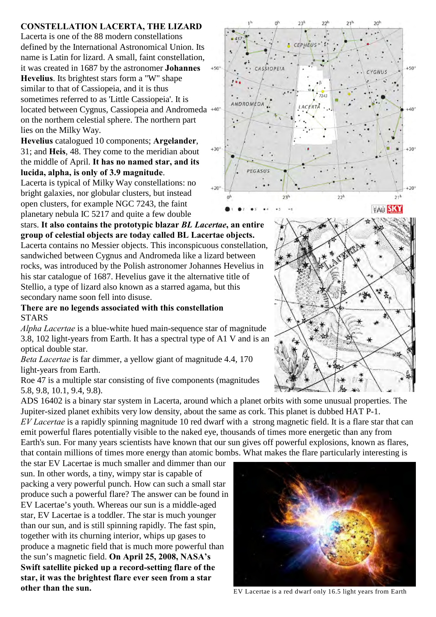## **CONSTELLATION LACERTA, THE LIZARD**

Lacerta is one of the 88 modern constellations defined by the International Astronomical Union. Its name is Latin for lizard. A small, faint constellation, it was created in 1687 by the astronomer **Johannes Hevelius**. Its brightest stars form a "W" shape similar to that of Cassiopeia, and it is thus sometimes referred to as 'Little Cassiopeia'. It is located between Cygnus, Cassiopeia and Andromeda on the northern celestial sphere. The northern part lies on the Milky Way.

**Hevelius** catalogued 10 components; **Argelander**, 31; and **Heis**, 48. They come to the meridian about the middle of April. **It has no named star, and its lucida, alpha, is only of 3.9 magnitude**.

Lacerta is typical of Milky Way constellations: no bright galaxies, nor globular clusters, but instead open clusters, for example NGC 7243, the faint planetary nebula IC 5217 and quite a few double

stars. **It also contains the prototypic blazar** *BL Lacertae***, an entire group of celestial objects are today called BL Lacertae objects.** Lacerta contains no Messier objects. This inconspicuous constellation, sandwiched between Cygnus and Andromeda like a lizard between rocks, was introduced by the Polish astronomer Johannes Hevelius in

his star catalogue of 1687. Hevelius gave it the alternative title of Stellio, a type of lizard also known as a starred agama, but this secondary name soon fell into disuse.

## **There are no legends associated with this constellation STARS**

*Alpha Lacertae* is a blue-white hued main-sequence star of magnitude 3.8, 102 light-years from Earth. It has a spectral type of A1 V and is an optical double star.

*Beta Lacertae* is far dimmer, a yellow giant of magnitude 4.4, 170 light-years from Earth.

Roe 47 is a multiple star consisting of five components (magnitudes 5.8, 9.8, 10.1, 9.4, 9.8).

ADS 16402 is a binary star system in Lacerta, around which a planet orbits with some unusual properties. The Jupiter-sized planet exhibits very low density, about the same as cork. This planet is dubbed HAT P-1. *EV Lacertae* is a rapidly spinning magnitude 10 red dwarf with a strong magnetic field. It is a flare star that can emit powerful flares potentially visible to the naked eye, thousands of times more energetic than any from Earth's sun. For many years scientists have known that our sun gives off powerful explosions, known as flares, that contain millions of times more energy than atomic bombs. What makes the flare particularly interesting is

the star EV Lacertae is much smaller and dimmer than our sun. In other words, a tiny, wimpy star is capable of packing a very powerful punch. How can such a small star produce such a powerful flare? The answer can be found in EV Lacertae's youth. Whereas our sun is a middle-aged star, EV Lacertae is a toddler. The star is much younger than our sun, and is still spinning rapidly. The fast spin, together with its churning interior, whips up gases to produce a magnetic field that is much more powerful than the sun's magnetic field. **On April 25, 2008, NASA's Swift satellite picked up a record-setting flare of the star, it was the brightest flare ever seen from a star other than the sun.** EV Lacertae is a red dwarf only 16.5 light years from Earth